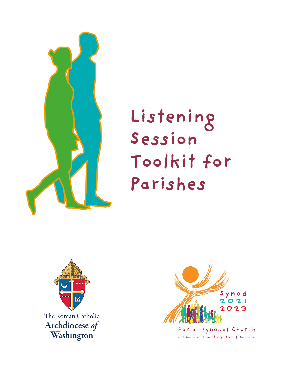

# Listening Session Toolkit for Parishes



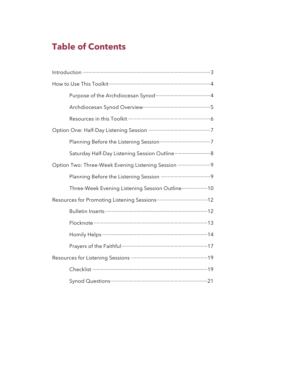# **Table of Contents**

| Saturday Half-Day Listening Session Outline  8     |
|----------------------------------------------------|
| Option Two: Three-Week Evening Listening Session 9 |
|                                                    |
| Three-Week Evening Listening Session Outline  10   |
|                                                    |
|                                                    |
|                                                    |
|                                                    |
|                                                    |
|                                                    |
|                                                    |
|                                                    |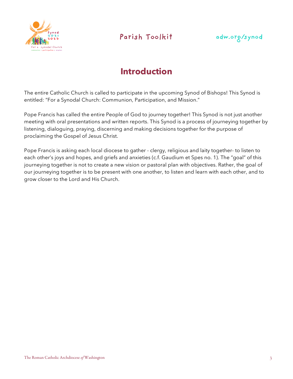



# **Introduction**

The entire Catholic Church is called to participate in the upcoming Synod of Bishops! This Synod is entitled: "For a Synodal Church: Communion, Participation, and Mission."

Pope Francis has called the entire People of God to journey together! This Synod is not just another meeting with oral presentations and written reports. This Synod is a process of journeying together by listening, dialoguing, praying, discerning and making decisions together for the purpose of proclaiming the Gospel of Jesus Christ.

Pope Francis is asking each local diocese to gather - clergy, religious and laity together- to listen to each other's joys and hopes, and griefs and anxieties (c.f. Gaudium et Spes no. 1). The "goal" of this journeying together is not to create a new vision or pastoral plan with objectives. Rather, the goal of our journeying together is to be present with one another, to listen and learn with each other, and to grow closer to the Lord and His Church.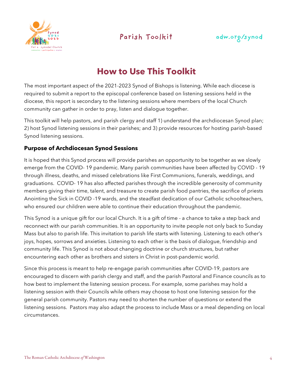



# **How to Use This Toolkit**

The most important aspect of the 2021-2023 Synod of Bishops is listening. While each diocese is required to submit a report to the episcopal conference based on listening sessions held in the diocese, this report is secondary to the listening sessions where members of the local Church community can gather in order to pray, listen and dialogue together.

This toolkit will help pastors, and parish clergy and staff 1) understand the archdiocesan Synod plan; 2) host Synod listening sessions in their parishes; and 3) provide resources for hosting parish-based Synod listening sessions.

### **Purpose of Archdiocesan Synod Sessions**

It is hoped that this Synod process will provide parishes an opportunity to be together as we slowly emerge from the COVID- 19 pandemic. Many parish communities have been affected by COVID - 19 through illness, deaths, and missed celebrations like First Communions, funerals, weddings, and graduations. COVID- 19 has also affected parishes through the incredible generosity of community members giving their time, talent, and treasure to create parish food pantries, the sacrifice of priests Anointing the Sick in COVID -19 wards, and the steadfast dedication of our Catholic schoolteachers, who ensured our children were able to continue their education throughout the pandemic.

This Synod is a unique gift for our local Church. It is a gift of time - a chance to take a step back and reconnect with our parish communities. It is an opportunity to invite people not only back to Sunday Mass but also to parish life. This invitation to parish life starts with listening. Listening to each other's joys, hopes, sorrows and anxieties. Listening to each other is the basis of dialogue, friendship and community life. This Synod is not about changing doctrine or church structures, but rather encountering each other as brothers and sisters in Christ in post-pandemic world.

Since this process is meant to help re-engage parish communities after COVID-19, pastors are encouraged to discern with parish clergy and staff, and the parish Pastoral and Finance councils as to how best to implement the listening session process. For example, some parishes may hold a listening session with their Councils while others may choose to host one listening session for the general parish community. Pastors may need to shorten the number of questions or extend the listening sessions. Pastors may also adapt the process to include Mass or a meal depending on local circumstances.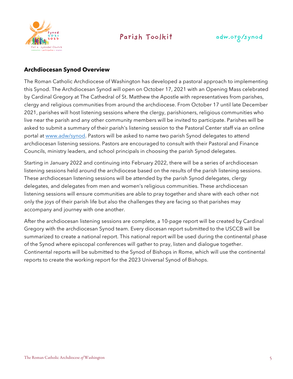



### **Archdiocesan Synod Overview**

The Roman Catholic Archdiocese of Washington has developed a pastoral approach to implementing this Synod. The Archdiocesan Synod will open on October 17, 2021 with an Opening Mass celebrated by Cardinal Gregory at The Cathedral of St. Matthew the Apostle with representatives from parishes, clergy and religious communities from around the archdiocese. From October 17 until late December 2021, parishes will host listening sessions where the clergy, parishioners, religious communities who live near the parish and any other community members will be invited to participate. Parishes will be asked to submit a summary of their parish's listening session to the Pastoral Center staff via an online portal at www.adw/synod. Pastors will be asked to name two parish Synod delegates to attend archdiocesan listening sessions. Pastors are encouraged to consult with their Pastoral and Finance Councils, ministry leaders, and school principals in choosing the parish Synod delegates.

Starting in January 2022 and continuing into February 2022, there will be a series of archdiocesan listening sessions held around the archdiocese based on the results of the parish listening sessions. These archdiocesan listening sessions will be attended by the parish Synod delegates, clergy delegates, and delegates from men and women's religious communities. These archdiocesan listening sessions will ensure communities are able to pray together and share with each other not only the joys of their parish life but also the challenges they are facing so that parishes may accompany and journey with one another.

After the archdiocesan listening sessions are complete, a 10-page report will be created by Cardinal Gregory with the archdiocesan Synod team. Every diocesan report submitted to the USCCB will be summarized to create a national report. This national report will be used during the continental phase of the Synod where episcopal conferences will gather to pray, listen and dialogue together. Continental reports will be submitted to the Synod of Bishops in Rome, which will use the continental reports to create the working report for the 2023 Universal Synod of Bishops.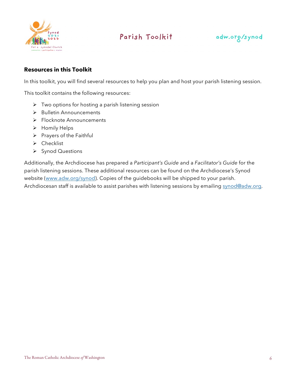



### **Resources in this Toolkit**

In this toolkit, you will find several resources to help you plan and host your parish listening session.

This toolkit contains the following resources:

- $\triangleright$  Two options for hosting a parish listening session
- $\triangleright$  Bulletin Announcements
- Ø Flocknote Announcements
- $\triangleright$  Homily Helps
- $\triangleright$  Prayers of the Faithful
- $\triangleright$  Checklist
- Ø Synod Questions

Additionally, the Archdiocese has prepared a *Participant's Guide* and a *Facilitator's Guide* for the parish listening sessions. These additional resources can be found on the Archdiocese's Synod website (www.adw.org/synod). Copies of the guidebooks will be shipped to your parish. Archdiocesan staff is available to assist parishes with listening sessions by emailing synod@adw.org.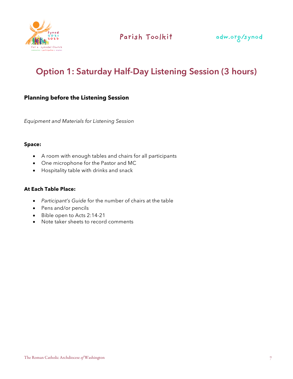

# **Option 1: Saturday Half-Day Listening Session (3 hours)**

### **Planning before the Listening Session**

*Equipment and Materials for Listening Session*

#### **Space:**

- A room with enough tables and chairs for all participants
- One microphone for the Pastor and MC
- Hospitality table with drinks and snack

#### **At Each Table Place:**

- *Participant's Guide* for the number of chairs at the table
- Pens and/or pencils
- Bible open to Acts 2:14-21
- Note taker sheets to record comments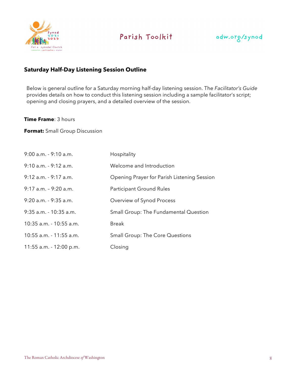



### **Saturday Half-Day Listening Session Outline**

Below is general outline for a Saturday morning half-day listening session. The *Facilitator's Guide* provides details on how to conduct this listening session including a sample facilitator's script; opening and closing prayers, and a detailed overview of the session.

#### **Time Frame**: 3 hours

**Format:** Small Group Discussion

| 9:00 a.m. - 9:10 a.m.     | Hospitality                                  |
|---------------------------|----------------------------------------------|
| $9:10$ a.m. - $9:12$ a.m. | Welcome and Introduction                     |
| $9:12$ a.m. - $9:17$ a.m. | Opening Prayer for Parish Listening Session  |
| $9:17$ a.m. - $9:20$ a.m. | Participant Ground Rules                     |
| $9:20$ a.m. - $9:35$ a.m. | Overview of Synod Process                    |
| 9:35 a.m. - 10:35 a.m.    | <b>Small Group: The Fundamental Question</b> |
| 10:35 a.m. - 10:55 a.m.   | <b>Break</b>                                 |
| 10:55 a.m. - 11:55 a.m.   | <b>Small Group: The Core Questions</b>       |
| 11:55 a.m. - 12:00 p.m.   | Closing                                      |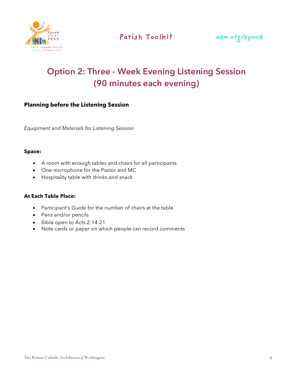

# **Option 2: Three - Week Evening Listening Session (90 minutes each evening)**

### **Planning before the Listening Session**

*Equipment and Materials for Listening Session*

#### **Space:**

- A room with enough tables and chairs for all participants
- One microphone for the Pastor and MC
- Hospitality table with drinks and snack

### **At Each Table Place:**

- *Participant's Guide* for the number of chairs at the table
- Pens and/or pencils
- Bible open to Acts 2:14-21
- Note cards or paper on which people can record comments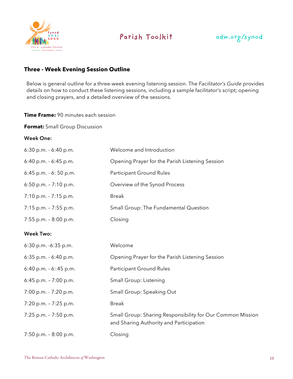



### **Three - Week Evening Session Outline**

Below is general outline for a three-week evening listening session. The *Facilitator's Guide* provides details on how to conduct these listening sessions, including a sample facilitator's script; opening and closing prayers, and a detailed overview of the sessions.

#### **Time Frame:** 90 minutes each session

**Format:** Small Group Discussion

#### **Week One:**

| $6:30$ p.m. $-6:40$ p.m. | Welcome and Introduction                        |
|--------------------------|-------------------------------------------------|
| $6:40$ p.m. $-6:45$ p.m. | Opening Prayer for the Parish Listening Session |
| $6:45$ p.m. $-6:50$ p.m. | Participant Ground Rules                        |
| 6:50 p.m. - 7:10 p.m.    | Overview of the Synod Process                   |
| $7:10$ p.m. $-7:15$ p.m. | <b>Break</b>                                    |
| $7:15$ p.m. $-7:55$ p.m. | <b>Small Group: The Fundamental Question</b>    |
| 7:55 p.m. $-8:00$ p.m.   | Closing                                         |
| <b>Week Two:</b>         |                                                 |
| $6:30$ p.m. $-6:35$ p.m. | Welcome                                         |
| $6:35$ p.m. $-6:40$ p.m. | Opening Prayer for the Parish Listening Session |
| 6:40 p.m. - 6:45 p.m.    | Participant Ground Rules                        |
| 6:45 p.m. $-7:00$ p.m.   | Small Group: Listening                          |

7:00 p.m. - 7:20 p.m. Small Group: Speaking Out

7:20 p.m. – 7:25 p.m. Break

7:25 p.m. – 7:50 p.m. Small Group: Sharing Responsibility for Our Common Mission and Sharing Authority and Participation

7:50 p.m. – 8:00 p.m. Closing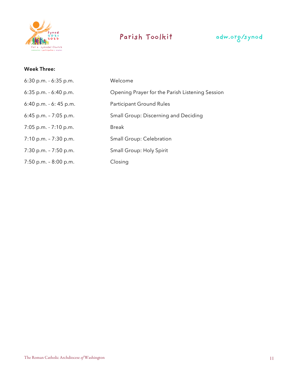



### **Week Three:**

| $6:30$ p.m. $-6:35$ p.m. | Welcome                                         |
|--------------------------|-------------------------------------------------|
| $6:35$ p.m. $-6:40$ p.m. | Opening Prayer for the Parish Listening Session |
| $6:40$ p.m. $-6:45$ p.m. | Participant Ground Rules                        |
| $6:45$ p.m. $-7:05$ p.m. | Small Group: Discerning and Deciding            |
| $7:05$ p.m. $-7:10$ p.m. | Break                                           |
| $7:10$ p.m. $-7:30$ p.m. | Small Group: Celebration                        |
| $7:30$ p.m. $-7:50$ p.m. | Small Group: Holy Spirit                        |
| $7:50$ p.m. $-8:00$ p.m. | Closing                                         |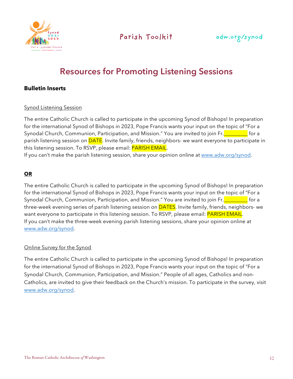



# **Resources for Promoting Listening Sessions**

### **Bulletin Inserts**

#### Synod Listening Session

The entire Catholic Church is called to participate in the upcoming Synod of Bishops! In preparation for the international Synod of Bishops in 2023, Pope Francis wants your input on the topic of "For a Synodal Church, Communion, Participation, and Mission." You are invited to join Fr. **The Lands** for a parish listening session on **DATE**. Invite family, friends, neighbors- we want everyone to participate in this listening session. To RSVP, please email: **PARISH EMAIL**.

If you can't make the parish listening session, share your opinion online at www.adw.org/synod.

#### **OR**

The entire Catholic Church is called to participate in the upcoming Synod of Bishops! In preparation for the international Synod of Bishops in 2023, Pope Francis wants your input on the topic of "For a Synodal Church, Communion, Participation, and Mission." You are invited to join Fr.**Quiltion Letter** for a three-week evening series of parish listening session on **DATES**. Invite family, friends, neighbors- we want everyone to participate in this listening session. To RSVP, please email: **PARISH EMAIL**. If you can't make the three-week evening parish listening sessions, share your opinion online at www.adw.org/synod.

#### Online Survey for the Synod

The entire Catholic Church is called to participate in the upcoming Synod of Bishops! In preparation for the international Synod of Bishops in 2023, Pope Francis wants your input on the topic of "For a Synodal Church, Communion, Participation, and Mission." People of all ages, Catholics and non-Catholics, are invited to give their feedback on the Church's mission. To participate in the survey, visit www.adw.org/synod.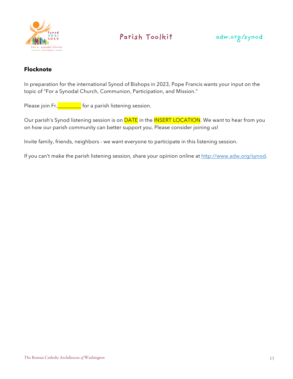



### **Flocknote**

In preparation for the international Synod of Bishops in 2023, Pope Francis wants your input on the topic of "For a Synodal Church, Communion, Participation, and Mission."

Please join Fr.**LETTE FOR A parish listening session.** 

Our parish's Synod listening session is on **DATE** in the **INSERT LOCATION**. We want to hear from you on how our parish community can better support you. Please consider joining us!

Invite family, friends, neighbors - we want everyone to participate in this listening session.

If you can't make the parish listening session, share your opinion online at http://www.adw.org/synod.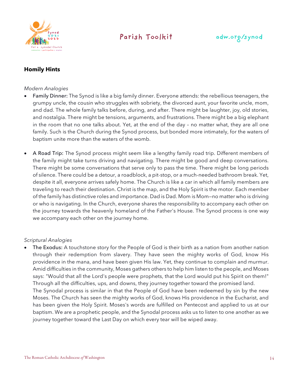

### adw.org/synod

### **Homily Hints**

#### *Modern Analogies*

- Family Dinner: The Synod is like a big family dinner. Everyone attends: the rebellious teenagers, the grumpy uncle, the cousin who struggles with sobriety, the divorced aunt, your favorite uncle, mom, and dad. The whole family talks before, during, and after. There might be laughter, joy, old stories, and nostalgia. There might be tensions, arguments, and frustrations. There might be a big elephant in the room that no one talks about. Yet, at the end of the day – no matter what, they are all one family. Such is the Church during the Synod process, but bonded more intimately, for the waters of baptism unite more than the waters of the womb.
- A Road Trip: The Synod process might seem like a lengthy family road trip. Different members of the family might take turns driving and navigating. There might be good and deep conversations. There might be some conversations that serve only to pass the time. There might be long periods of silence. There could be a detour, a roadblock, a pit-stop, or a much-needed bathroom break. Yet, despite it all, everyone arrives safely home. The Church is like a car in which all family members are traveling to reach their destination. Christ is the map, and the Holy Spirit is the motor. Each member of the family has distinctive roles and importance. Dad is Dad. Mom is Mom—no matter who is driving or who is navigating. In the Church, everyone shares the responsibility to accompany each other on the journey towards the heavenly homeland of the Father's House. The Synod process is one way we accompany each other on the journey home.

#### *Scriptural Analogies*

The Exodus: A touchstone story for the People of God is their birth as a nation from another nation through their redemption from slavery. They have seen the mighty works of God, know His providence in the mana, and have been given His law. Yet, they continue to complain and murmur. Amid difficulties in the community, Moses gathers others to help him listen to the people, and Moses says: "Would that all the Lord's people were prophets, that the Lord would put his Spirit on them!" Through all the difficulties, ups, and downs, they journey together toward the promised land. The Synodal process is similar in that the People of God have been redeemed by sin by the new Moses. The Church has seen the mighty works of God, knows His providence in the Eucharist, and has been given the Holy Spirit. Moses's words are fulfilled on Pentecost and applied to us at our baptism. We are a prophetic people, and the Synodal process asks us to listen to one another as we journey together toward the Last Day on which every tear will be wiped away.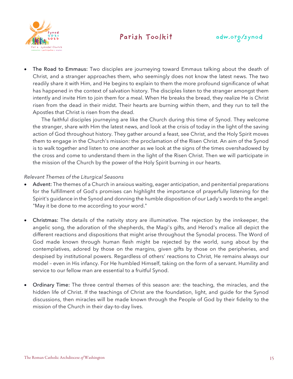



The Road to Emmaus: Two disciples are journeying toward Emmaus talking about the death of Christ, and a stranger approaches them, who seemingly does not know the latest news. The two readily share it with Him, and He begins to explain to them the more profound significance of what has happened in the context of salvation history. The disciples listen to the stranger amongst them intently and invite Him to join them for a meal. When He breaks the bread, they realize He is Christ risen from the dead in their midst. Their hearts are burning within them, and they run to tell the Apostles that Christ is risen from the dead.

The faithful disciples journeying are like the Church during this time of Synod. They welcome the stranger, share with Him the latest news, and look at the crisis of today in the light of the saving action of God throughout history. They gather around a feast, see Christ, and the Holy Spirit moves them to engage in the Church's mission: the proclamation of the Risen Christ. An aim of the Synod is to walk together and listen to one another as we look at the signs of the times overshadowed by the cross and come to understand them in the light of the Risen Christ. Then we will participate in the mission of the Church by the power of the Holy Spirit burning in our hearts.

#### *Relevant Themes of the Liturgical Seasons*

- Advent: The themes of a Church in anxious waiting, eager anticipation, and penitential preparations for the fulfillment of God's promises can highlight the importance of prayerfully listening for the Spirit's guidance in the Synod and donning the humble disposition of our Lady's words to the angel: "May it be done to me according to your word."
- Christmas: The details of the nativity story are illuminative. The rejection by the innkeeper, the angelic song, the adoration of the shepherds, the Magi's gifts, and Herod's malice all depict the different reactions and dispositions that might arise throughout the Synodal process. The Word of God made known through human flesh might be rejected by the world, sung about by the contemplatives, adored by those on the margins, given gifts by those on the peripheries, and despised by institutional powers. Regardless of others' reactions to Christ, He remains always our model – even in His infancy. For He humbled Himself, taking on the form of a servant. Humility and service to our fellow man are essential to a fruitful Synod.
- Ordinary Time: The three central themes of this season are: the teaching, the miracles, and the hidden life of Christ. If the teachings of Christ are the foundation, light, and guide for the Synod discussions, then miracles will be made known through the People of God by their fidelity to the mission of the Church in their day-to-day lives.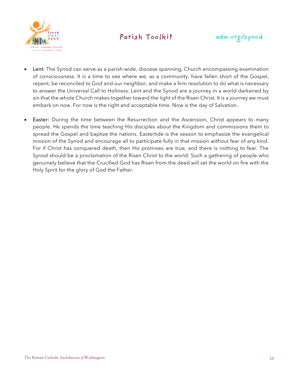



- Lent: The Synod can serve as a parish-wide, diocese spanning, Church encompassing examination of consciousness. It is a time to see where we, as a community, have fallen short of the Gospel, repent, be reconciled to God and our neighbor, and make a firm resolution to do what is necessary to answer the Universal Call to Holiness. Lent and the Synod are a journey in a world darkened by sin that the whole Church makes together toward the light of the Risen Christ. It is a journey we must embark on now. For now is the right and acceptable time. Now is the day of Salvation.
- Easter: During the time between the Resurrection and the Ascension, Christ appears to many people. He spends the time teaching His disciples about the Kingdom and commissions them to spread the Gospel and baptize the nations. Eastertide is the season to emphasize the evangelical mission of the Synod and encourage all to participate fully in that mission without fear of any kind. For if Christ has conquered death, then His promises are true, and there is nothing to fear. The Synod should be a proclamation of the Risen Christ to the world. Such a gathering of people who genuinely believe that the Crucified God has Risen from the dead will set the world on fire with the Holy Spirit for the glory of God the Father.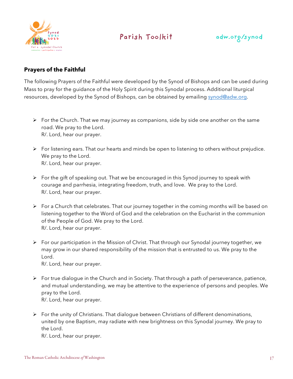



### **Prayers of the Faithful**

The following Prayers of the Faithful were developed by the Synod of Bishops and can be used during Mass to pray for the guidance of the Holy Spirit during this Synodal process. Additional liturgical resources, developed by the Synod of Bishops, can be obtained by emailing synod@adw.org.

- $\triangleright$  For the Church. That we may journey as companions, side by side one another on the same road. We pray to the Lord. R/. Lord, hear our prayer.
- Ø For listening ears. That our hearts and minds be open to listening to others without prejudice. We pray to the Lord. R/. Lord, hear our prayer.
- $\triangleright$  For the gift of speaking out. That we be encouraged in this Synod journey to speak with courage and parrhesia, integrating freedom, truth, and love. We pray to the Lord. R/. Lord, hear our prayer.
- $\triangleright$  For a Church that celebrates. That our journey together in the coming months will be based on listening together to the Word of God and the celebration on the Eucharist in the communion of the People of God. We pray to the Lord. R/. Lord, hear our prayer.
- $\triangleright$  For our participation in the Mission of Christ. That through our Synodal journey together, we may grow in our shared responsibility of the mission that is entrusted to us. We pray to the Lord.

R/. Lord, hear our prayer.

- Ø For true dialogue in the Church and in Society. That through a path of perseverance, patience, and mutual understanding, we may be attentive to the experience of persons and peoples. We pray to the Lord. R/. Lord, hear our prayer.
- $\triangleright$  For the unity of Christians. That dialogue between Christians of different denominations, united by one Baptism, may radiate with new brightness on this Synodal journey. We pray to the Lord.

R/. Lord, hear our prayer.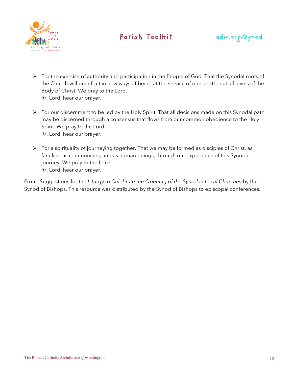



- Ø For the exercise of authority and participation in the People of God. That the Synodal roots of the Church will bear fruit in new ways of being at the service of one another at all levels of the Body of Christ. We pray to the Lord. R/. Lord, hear our prayer.
- Ø For our discernment to be led by the Holy Spirit. That all decisions made on this Synodal path may be discerned through a consensus that flows from our common obedience to the Holy Spirit. We pray to the Lord. R/. Lord, hear our prayer.
- $\triangleright$  For a spirituality of journeying together. That we may be formed as disciples of Christ, as families, as communities, and as human beings, through our experience of this Synodal journey. We pray to the Lord. R/. Lord, hear our prayer.

From: Suggestions for the *Liturgy to Celebrate the Opening of the Synod in Local Churches* by the Synod of Bishops. This resource was distributed by the Synod of Bishops to episcopal conferences.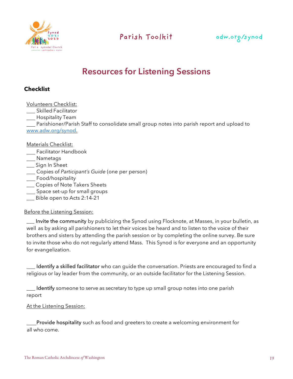



# **Resources for Listening Sessions**

### **Checklist**

Volunteers Checklist:

Skilled Facilitator

\_\_\_ Hospitality Team

Parishioner/Parish Staff to consolidate small group notes into parish report and upload to www.adw.org/synod.

Materials Checklist:

- **\_\_\_** Facilitator Handbook
- Nametags
- \_\_\_ Sign In Sheet
- Copies of *Participant's Guide* (one per person)
- \_\_ Food/hospitality
- \_\_\_ Copies of Note Takers Sheets
- Space set-up for small groups
- \_\_\_ Bible open to Acts 2:14-21

Before the Listening Session:

\_\_\_ Invite the community by publicizing the Synod using Flocknote, at Masses, in your bulletin, as well as by asking all parishioners to let their voices be heard and to listen to the voice of their brothers and sisters by attending the parish session or by completing the online survey. Be sure to invite those who do not regularly attend Mass. This Synod is for everyone and an opportunity for evangelization.

Identify a skilled facilitator who can guide the conversation. Priests are encouraged to find a religious or lay leader from the community, or an outside facilitator for the Listening Session.

Identify someone to serve as secretary to type up small group notes into one parish report

#### At the Listening Session:

Provide hospitality such as food and greeters to create a welcoming environment for all who come.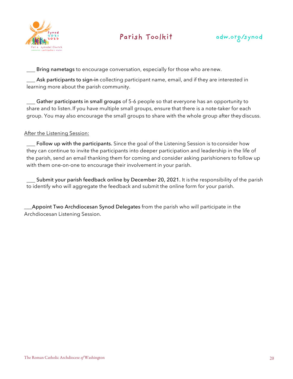



**Example 20 Exercice 20 Exercice 20 Exercise 20 Exercise 20 Exercise 20 Exercise 20 Exercise 20 Exercise 20 Exe** 

**Ask participants to sign-in** collecting participant name, email, and if they are interested in learning more about the parish community.

Gather participants in small groups of 5-6 people so that everyone has an opportunity to share and to listen.If you have multiple small groups, ensure that there is a note-taker for each group. You may also encourage the small groups to share with the whole group after theydiscuss.

### After the Listening Session:

Follow up with the participants. Since the goal of the Listening Session is to consider how they can continue to invite the participants into deeper participation and leadership in the life of the parish, send an email thanking them for coming and consider asking parishioners to follow up with them one-on-one to encourage their involvement in your parish.

Submit your parish feedback online by December 20, 2021. It is the responsibility of the parish to identify who will aggregate the feedback and submit the online form for your parish.

**Appoint Two Archdiocesan Synod Delegates** from the parish who will participate in the Archdiocesan Listening Session.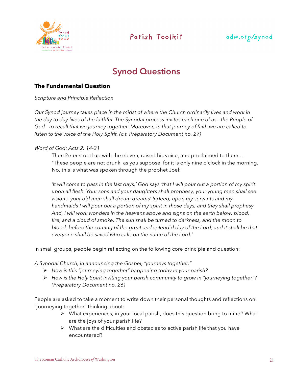

### adw.org/synod

# **Synod Questions**

### **The Fundamental Question**

*Scripture and Principle Reflection* 

*Our Synod journey takes place in the midst of where the Church ordinarily lives and work in the day to day lives of the faithful. The Synodal process invites each one of us - the People of God - to recall that we journey together. Moreover, in that journey of faith we are called to listen to the voice of the Holy Spirit. (c.f. Preparatory Document no. 27)*

### *Word of God: Acts 2: 14-21*

Then Peter stood up with the eleven, raised his voice, and proclaimed to them … "These people are not drunk, as you suppose, for it is only nine o'clock in the morning. No, this is what was spoken through the prophet Joel:

*'It will come to pass in the last days,' God says 'that I will pour out a portion of my spirit upon all flesh. Your sons and your daughters shall prophesy, your young men shall see visions, your old men shall dream dreams' Indeed, upon my servants and my handmaids I will pour out a portion of my spirit in those days, and they shall prophesy. And, I will work wonders in the heavens above and signs on the earth below: blood, fire, and a cloud of smoke. The sun shall be turned to darkness, and the moon to blood, before the coming of the great and splendid day of the Lord, and it shall be that everyone shall be saved who calls on the name of the Lord.'*

In small groups, people begin reflecting on the following core principle and question:

*A Synodal Church, in announcing the Gospel, "journeys together."* 

- Ø *How is this "journeying together" happening today in your parish?*
- Ø *How is the Holy Spirit inviting your parish community to grow in "journeying together"? (Preparatory Document no. 26)*

People are asked to take a moment to write down their personal thoughts and reflections on "journeying together" thinking about:

- $\triangleright$  What experiences, in your local parish, does this question bring to mind? What are the joys of your parish life?
- $\triangleright$  What are the difficulties and obstacles to active parish life that you have encountered?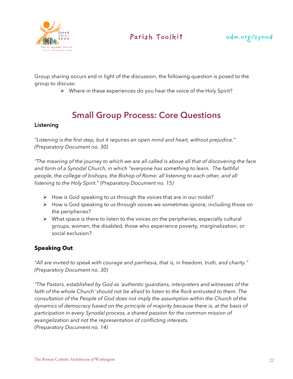



Group sharing occurs and in light of the discussion, the following question is posed to the group to discuss:

 $\triangleright$  Where in these experiences do you hear the voice of the Holy Spirit?

# **Small Group Process: Core Questions**

### **Listening**

*"Listening is the first step, but it requires an open mind and heart, without prejudice." (Preparatory Document no. 30)*

*"The meaning of the journey to which we are all called is above all that of discovering the face and form of a Synodal Church, in which "everyone has something to learn. The faithful people, the college of bishops, the Bishop of Rome: all listening to each other, and all listening to the Holy Spirit." (Preparatory Document no. 15)*

- $\triangleright$  How is God speaking to us through the voices that are in our midst?
- Ø How is God speaking to us through voices we sometimes ignore, including those on the peripheries?
- $\triangleright$  What space is there to listen to the voices on the peripheries, especially cultural groups, women, the disabled, those who experience poverty, marginalization, or social exclusion?

### **Speaking Out**

*"All are invited to speak with courage and parrhesia, that is, in freedom, truth, and charity." (Preparatory Document no. 30)*

*"The Pastors, established by God as 'authentic guardians, interpreters and witnesses of the*  faith of the whole Church' should not be afraid to listen to the flock entrusted to them. The *consultation of the People of God does not imply the assumption within the Church of the dynamics of democracy based on the principle of majority because there is, at the basis of participation in every Synodal process, a shared passion for the common mission of evangelization and not the representation of conflicting interests. (Preparatory Document no. 14)*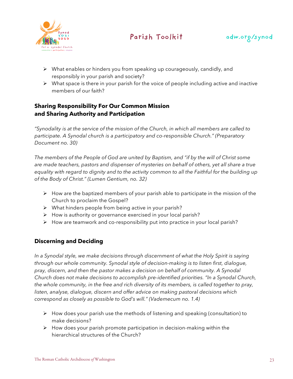



- $\triangleright$  What enables or hinders you from speaking up courageously, candidly, and responsibly in your parish and society?
- $\triangleright$  What space is there in your parish for the voice of people including active and inactive members of our faith?

### **Sharing Responsibility For Our Common Mission and Sharing Authority and Participation**

*"Synodality is at the service of the mission of the Church, in which all members are called to participate. A Synodal church is a participatory and co-responsible Church." (Preparatory Document no. 30)* 

*The members of the People of God are united by Baptism, and "if by the will of Christ some are made teachers, pastors and dispenser of mysteries on behalf of others, yet all share a true equality with regard to dignity and to the activity common to all the Faithful for the building up of the Body of Christ." (Lumen Gentium, no. 32)*

- $\triangleright$  How are the baptized members of your parish able to participate in the mission of the Church to proclaim the Gospel?
- $\triangleright$  What hinders people from being active in your parish?
- $\triangleright$  How is authority or governance exercised in your local parish?
- $\triangleright$  How are teamwork and co-responsibility put into practice in your local parish?

### **Discerning and Deciding**

*In a Synodal style, we make decisions through discernment of what the Holy Spirit is saying through our whole community. Synodal style of decision-making is to listen first, dialogue, pray, discern, and then the pastor makes a decision on behalf of community. A Synodal Church does not make decisions to accomplish pre-identified priorities. "In a Synodal Church, the whole community, in the free and rich diversity of its members, is called together to pray, listen, analyse, dialogue, discern and offer advice on making pastoral decisions which correspond as closely as possible to God's will." (Vademecum no. 1.4)*

- $\triangleright$  How does your parish use the methods of listening and speaking (consultation) to make decisions?
- $\triangleright$  How does your parish promote participation in decision-making within the hierarchical structures of the Church?